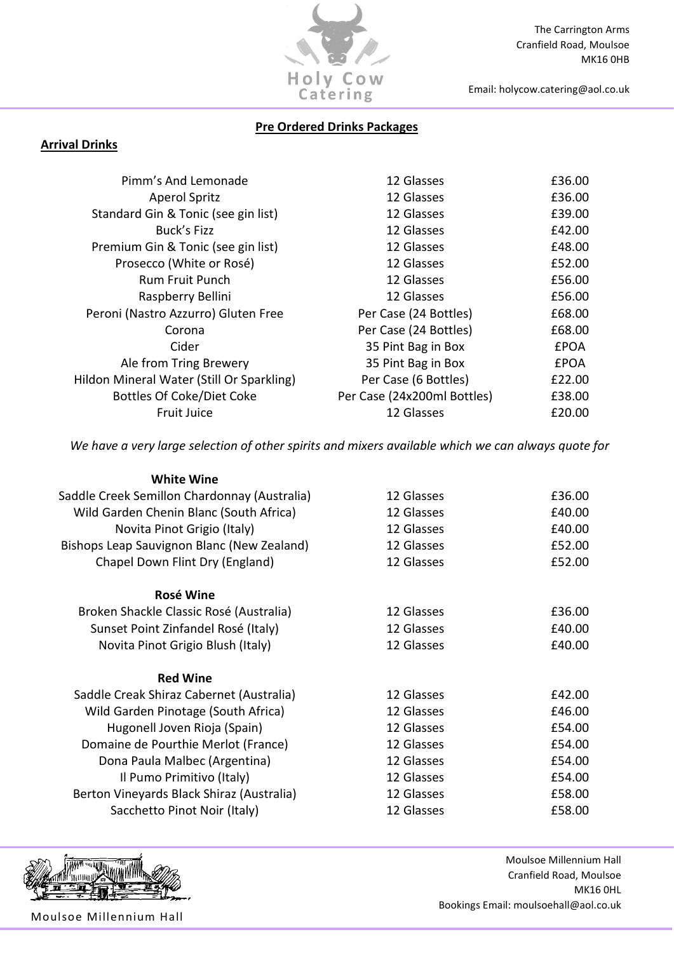

# Pre Ordered Drinks Packages

# Arrival Drinks

| Pimm's And Lemonade                       | 12 Glasses                  | £36.00      |
|-------------------------------------------|-----------------------------|-------------|
| <b>Aperol Spritz</b>                      | 12 Glasses                  | £36.00      |
| Standard Gin & Tonic (see gin list)       | 12 Glasses                  | £39.00      |
| Buck's Fizz                               | 12 Glasses                  | £42.00      |
| Premium Gin & Tonic (see gin list)        | 12 Glasses                  | £48.00      |
| Prosecco (White or Rosé)                  | 12 Glasses                  | £52.00      |
| <b>Rum Fruit Punch</b>                    | 12 Glasses                  | £56.00      |
| Raspberry Bellini                         | 12 Glasses                  | £56.00      |
| Peroni (Nastro Azzurro) Gluten Free       | Per Case (24 Bottles)       | £68.00      |
| Corona                                    | Per Case (24 Bottles)       | £68.00      |
| Cider                                     | 35 Pint Bag in Box          | <b>£POA</b> |
| Ale from Tring Brewery                    | 35 Pint Bag in Box          | <b>£POA</b> |
| Hildon Mineral Water (Still Or Sparkling) | Per Case (6 Bottles)        | £22.00      |
| <b>Bottles Of Coke/Diet Coke</b>          | Per Case (24x200ml Bottles) | £38.00      |
| <b>Fruit Juice</b>                        | 12 Glasses                  | £20.00      |
|                                           |                             |             |

We have a very large selection of other spirits and mixers available which we can always quote for

| <b>White Wine</b>                            |            |        |
|----------------------------------------------|------------|--------|
| Saddle Creek Semillon Chardonnay (Australia) | 12 Glasses | £36.00 |
| Wild Garden Chenin Blanc (South Africa)      | 12 Glasses | £40.00 |
| Novita Pinot Grigio (Italy)                  | 12 Glasses | £40.00 |
| Bishops Leap Sauvignon Blanc (New Zealand)   | 12 Glasses | £52.00 |
| Chapel Down Flint Dry (England)              | 12 Glasses | £52.00 |
| Rosé Wine                                    |            |        |
| Broken Shackle Classic Rosé (Australia)      | 12 Glasses | £36.00 |
| Sunset Point Zinfandel Rosé (Italy)          | 12 Glasses | £40.00 |
| Novita Pinot Grigio Blush (Italy)            | 12 Glasses | £40.00 |
| <b>Red Wine</b>                              |            |        |
| Saddle Creak Shiraz Cabernet (Australia)     | 12 Glasses | £42.00 |
| Wild Garden Pinotage (South Africa)          | 12 Glasses | £46.00 |
| Hugonell Joven Rioja (Spain)                 | 12 Glasses | £54.00 |
| Domaine de Pourthie Merlot (France)          | 12 Glasses | £54.00 |
| Dona Paula Malbec (Argentina)                | 12 Glasses | £54.00 |
| Il Pumo Primitivo (Italy)                    | 12 Glasses | £54.00 |
| Berton Vineyards Black Shiraz (Australia)    | 12 Glasses | £58.00 |
| Sacchetto Pinot Noir (Italy)                 | 12 Glasses | £58.00 |



Moulsoe Millennium Hall Cranfield Road, Moulsoe MK16 0HL Bookings Email: moulsoehall@aol.co.uk

Moulsoe Millennium Hall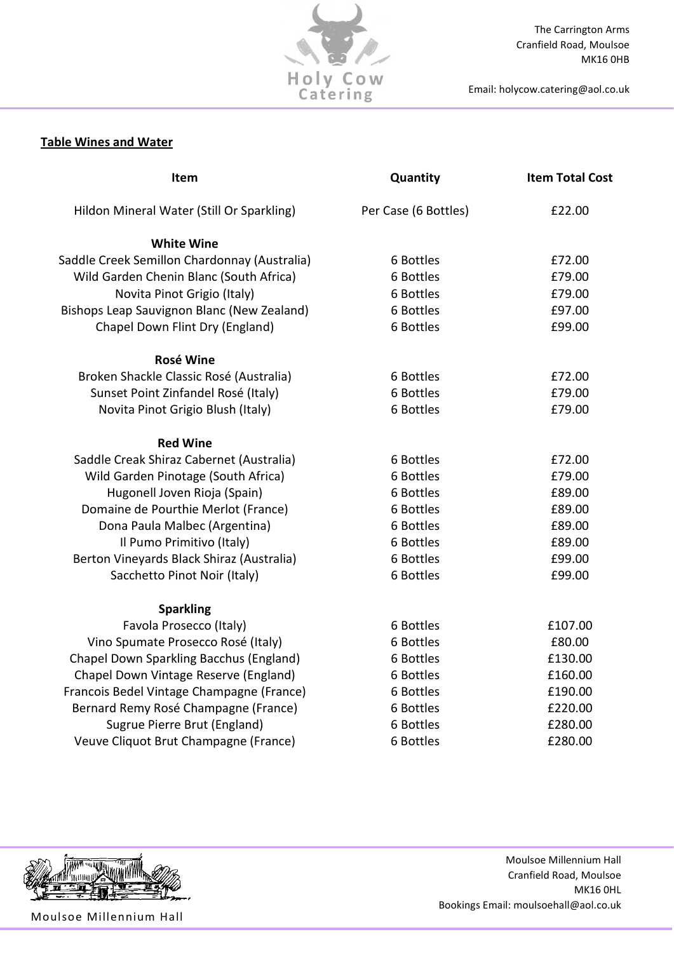

The Carrington Arms Cranfield Road, Moulsoe MK16 0HB

Email: holycow.catering@aol.co.uk

# Table Wines and Water

| Item                                           | Quantity             | <b>Item Total Cost</b> |
|------------------------------------------------|----------------------|------------------------|
| Hildon Mineral Water (Still Or Sparkling)      | Per Case (6 Bottles) | £22.00                 |
| <b>White Wine</b>                              |                      |                        |
| Saddle Creek Semillon Chardonnay (Australia)   | 6 Bottles            | £72.00                 |
| Wild Garden Chenin Blanc (South Africa)        | 6 Bottles            | £79.00                 |
| Novita Pinot Grigio (Italy)                    | 6 Bottles            | £79.00                 |
| Bishops Leap Sauvignon Blanc (New Zealand)     | 6 Bottles            | £97.00                 |
| Chapel Down Flint Dry (England)                | 6 Bottles            | £99.00                 |
| <b>Rosé Wine</b>                               |                      |                        |
| Broken Shackle Classic Rosé (Australia)        | 6 Bottles            | £72.00                 |
| Sunset Point Zinfandel Rosé (Italy)            | 6 Bottles            | £79.00                 |
| Novita Pinot Grigio Blush (Italy)              | 6 Bottles            | £79.00                 |
| <b>Red Wine</b>                                |                      |                        |
| Saddle Creak Shiraz Cabernet (Australia)       | 6 Bottles            | £72.00                 |
| Wild Garden Pinotage (South Africa)            | 6 Bottles            | £79.00                 |
| Hugonell Joven Rioja (Spain)                   | 6 Bottles            | £89.00                 |
| Domaine de Pourthie Merlot (France)            | 6 Bottles            | £89.00                 |
| Dona Paula Malbec (Argentina)                  | 6 Bottles            | £89.00                 |
| Il Pumo Primitivo (Italy)                      | 6 Bottles            | £89.00                 |
| Berton Vineyards Black Shiraz (Australia)      | 6 Bottles            | £99.00                 |
| Sacchetto Pinot Noir (Italy)                   | 6 Bottles            | £99.00                 |
| <b>Sparkling</b>                               |                      |                        |
| Favola Prosecco (Italy)                        | 6 Bottles            | £107.00                |
| Vino Spumate Prosecco Rosé (Italy)             | 6 Bottles            | £80.00                 |
| <b>Chapel Down Sparkling Bacchus (England)</b> | 6 Bottles            | £130.00                |
| Chapel Down Vintage Reserve (England)          | 6 Bottles            | £160.00                |
| Francois Bedel Vintage Champagne (France)      | 6 Bottles            | £190.00                |
| Bernard Remy Rosé Champagne (France)           | 6 Bottles            | £220.00                |
| Sugrue Pierre Brut (England)                   | 6 Bottles            | £280.00                |
| Veuve Cliquot Brut Champagne (France)          | 6 Bottles            | £280.00                |



Moulsoe Millennium Hall

Moulsoe Millennium Hall Cranfield Road, Moulsoe MK16 0HL Bookings Email: moulsoehall@aol.co.uk